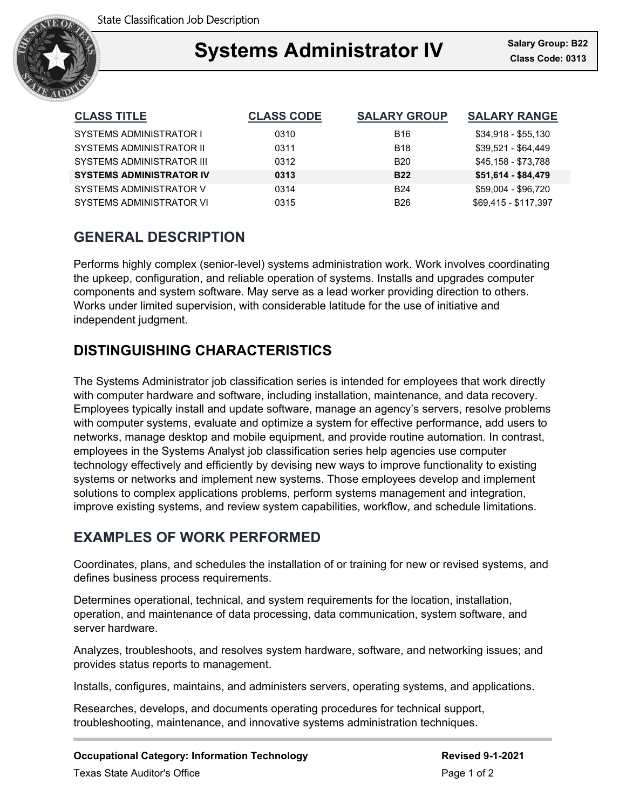

## Ξ **Systems Administrator IV Class Code: 0313**

| <b>CLASS TITLE</b>               | <b>CLASS CODE</b> | <b>SALARY GROUP</b> | <b>SALARY RANGE</b>  |
|----------------------------------|-------------------|---------------------|----------------------|
| SYSTEMS ADMINISTRATOR I          | 0310              | <b>B16</b>          | $$34,918 - $55,130$  |
| SYSTEMS ADMINISTRATOR II         | 0311              | <b>B18</b>          | \$39,521 - \$64,449  |
| <b>SYSTEMS ADMINISTRATOR III</b> | 0312              | <b>B20</b>          | \$45,158 - \$73,788  |
| <b>SYSTEMS ADMINISTRATOR IV</b>  | 0313              | <b>B22</b>          | \$51,614 - \$84,479  |
| SYSTEMS ADMINISTRATOR V          | 0314              | <b>B24</b>          | \$59,004 - \$96,720  |
| SYSTEMS ADMINISTRATOR VI         | 0315              | <b>B26</b>          | \$69.415 - \$117.397 |

# **GENERAL DESCRIPTION**

Performs highly complex (senior-level) systems administration work. Work involves coordinating the upkeep, configuration, and reliable operation of systems. Installs and upgrades computer components and system software. May serve as a lead worker providing direction to others. Works under limited supervision, with considerable latitude for the use of initiative and independent judgment.

# **DISTINGUISHING CHARACTERISTICS**

The Systems Administrator job classification series is intended for employees that work directly with computer hardware and software, including installation, maintenance, and data recovery. Employees typically install and update software, manage an agency's servers, resolve problems with computer systems, evaluate and optimize a system for effective performance, add users to networks, manage desktop and mobile equipment, and provide routine automation. In contrast, employees in the Systems Analyst job classification series help agencies use computer technology effectively and efficiently by devising new ways to improve functionality to existing systems or networks and implement new systems. Those employees develop and implement solutions to complex applications problems, perform systems management and integration, improve existing systems, and review system capabilities, workflow, and schedule limitations.

## **EXAMPLES OF WORK PERFORMED**

Coordinates, plans, and schedules the installation of or training for new or revised systems, and defines business process requirements.

Determines operational, technical, and system requirements for the location, installation, operation, and maintenance of data processing, data communication, system software, and server hardware.

Analyzes, troubleshoots, and resolves system hardware, software, and networking issues; and provides status reports to management.

Installs, configures, maintains, and administers servers, operating systems, and applications.

Researches, develops, and documents operating procedures for technical support, troubleshooting, maintenance, and innovative systems administration techniques.